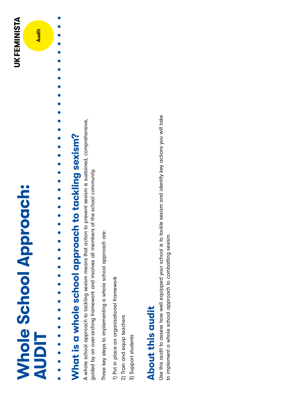## **Whole School Approach: Whole School Approach: AUDIT**





## What is a whole school approach to tackling sexism? **What is a whole school approach to tackling sexism?**

 $\bullet$  $\bullet$  $\bullet$  $\bullet$ 

 $\bullet$ 

 $\bullet$ 

 $\bullet$ 

 $\bullet$ 

 $\bullet$  $\bullet$ 

**. . . . . . . .** .

A whole school approach to tackling sexism means that action to prevent sexism is sustained, comprehensive, A whole school approach to tackling sexism means that action to prevent sexism is sustained, comprehensive, guided by an over-arching framework and involves all members of the school community. guided by an over-arching framework and involves all members of the school community.

Three key steps to implementing a whole school approach are: Three key steps to implementing a whole school approach are:

1) Put in place an organisational framework 1) Put in place an organisational framework

2) Train and equip teachers 2) Train and equip teachers

3) Support students 3) Support students

## About this qudit **About this audit**

Use this audit to assess how well equipped your school is to tackle sexism and identify key actions you will take Use this audit to assess how well equipped your school is to tackle sexism and identify key actions you will take to implement a whole school approach to combatting sexism. to implement a whole school approach to combatting sexism.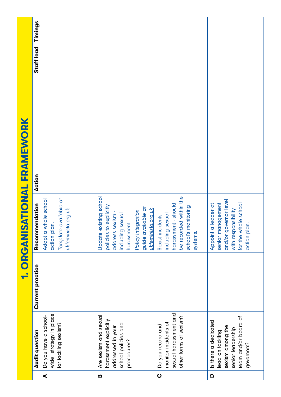|                             | Timings          |                                                                                        |                                                                                                                                                                         |                                                                                                                            |                                                                                                                                  |
|-----------------------------|------------------|----------------------------------------------------------------------------------------|-------------------------------------------------------------------------------------------------------------------------------------------------------------------------|----------------------------------------------------------------------------------------------------------------------------|----------------------------------------------------------------------------------------------------------------------------------|
| 1. ORGANISATIONAL FRAMEWORK | Staff lead       |                                                                                        |                                                                                                                                                                         |                                                                                                                            |                                                                                                                                  |
|                             | Action           |                                                                                        |                                                                                                                                                                         |                                                                                                                            |                                                                                                                                  |
|                             | Recommendation   | Template available at<br>whole school<br>ukteminista.org.uk<br>action plan.<br>Adopt a | Update existing school<br>policies to explicitly<br>guide available at<br>ukfeminista.org.uk<br>Policy integration<br>including sexual<br>address sexism<br>harassment. | be recorded within the<br>harassment - should<br>school's monitoring<br>Sexist incidents -<br>including sexual<br>systems. | and/or governor level<br>senior management<br>for the whole school<br>Appoint a leader at<br>with responsibility<br>action plan. |
|                             | Current practice |                                                                                        |                                                                                                                                                                         |                                                                                                                            |                                                                                                                                  |
|                             | Audit question   | wide strategy in place<br>Do you have a school-<br>for tackling sexism?                | Are sexism and sexual<br>harassment explicitly<br>school policies and<br>addressed in your<br>procedures?                                                               | sexual harassment and<br>other forms of sexism?<br>monitor incidents of<br>Do you record and                               | team and/or board of<br>Is there a dedicated<br>sexism among the<br>senior leadership<br>lead on tackling<br>governors?          |
|                             |                  | ◀                                                                                      | B                                                                                                                                                                       | $\bullet$                                                                                                                  | $\Omega$                                                                                                                         |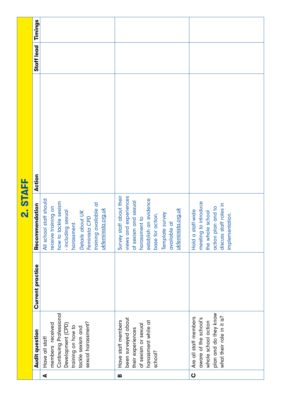|          | Timings               |                                                                                                                                                                                                    |                                                                                                                                                                                                  |                                                                                                                                  |
|----------|-----------------------|----------------------------------------------------------------------------------------------------------------------------------------------------------------------------------------------------|--------------------------------------------------------------------------------------------------------------------------------------------------------------------------------------------------|----------------------------------------------------------------------------------------------------------------------------------|
| 2. STAFF | Staff lead            |                                                                                                                                                                                                    |                                                                                                                                                                                                  |                                                                                                                                  |
|          | Action                |                                                                                                                                                                                                    |                                                                                                                                                                                                  |                                                                                                                                  |
|          | endation<br>Recomm    | staff should<br>how to tackle sexism<br>training available at<br>receive training on<br>ukteminista.org.uk<br>- including sexual<br>harassment.<br>Details about UK<br>Feminista CPD<br>All school | views and experiences<br>Survey staff about their<br>establish an evidence<br>of sexism and sexual<br>ukfeminista.org.uk<br>Template survey<br>base for action.<br>harassment to<br>available at | meeting to introduce<br>discuss staff roles in<br>action plan and to<br>Hold a staff-wide<br>the whole school<br>implementation. |
|          | Current practice      |                                                                                                                                                                                                    |                                                                                                                                                                                                  |                                                                                                                                  |
|          | <b>Audit question</b> | Continuing Professional<br>sexual harassment?<br>members received<br>Development (CPD)<br>training on how to<br>tackle sexism and<br>Have all staff                                                | been surveyed about<br>Have staff members<br>harassment while at<br>of sexism or sexual<br>their experiences<br>school?                                                                          | plan and do they know<br>what their role in it is?<br>Are all staff members<br>aware of the school's<br>whole school action      |
|          |                       | $\blacktriangleleft$                                                                                                                                                                               | m                                                                                                                                                                                                | $\mathbf O$                                                                                                                      |